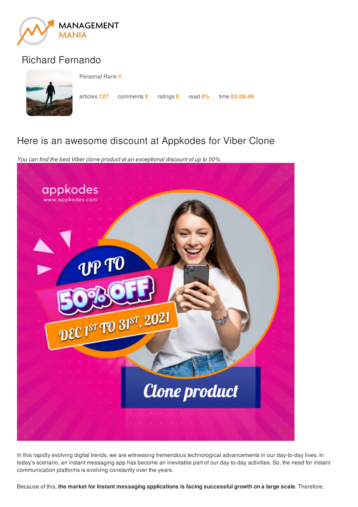

## Richard Fernando



Personal Rank 8

articles **127** comments **0** ratings **0** read **0%** time **03:08:48**

## Here is an awesome discount at Appkodes for Viber Clone

*You can find the best Viber clone product at an exceptional discount of up to 50%.*



In this rapidly evolving digital trends, we are witnessing tremendous technological advancements in our day-to-day lives. In today's scenario, an instant messaging app has become an inevitable part of our day-to-day activities. So, the need for instant communication platforms is evolving constantly over the years.

Because of this, **the market for Instant messaging applications is facing successful growth on a large scale**. Therefore,